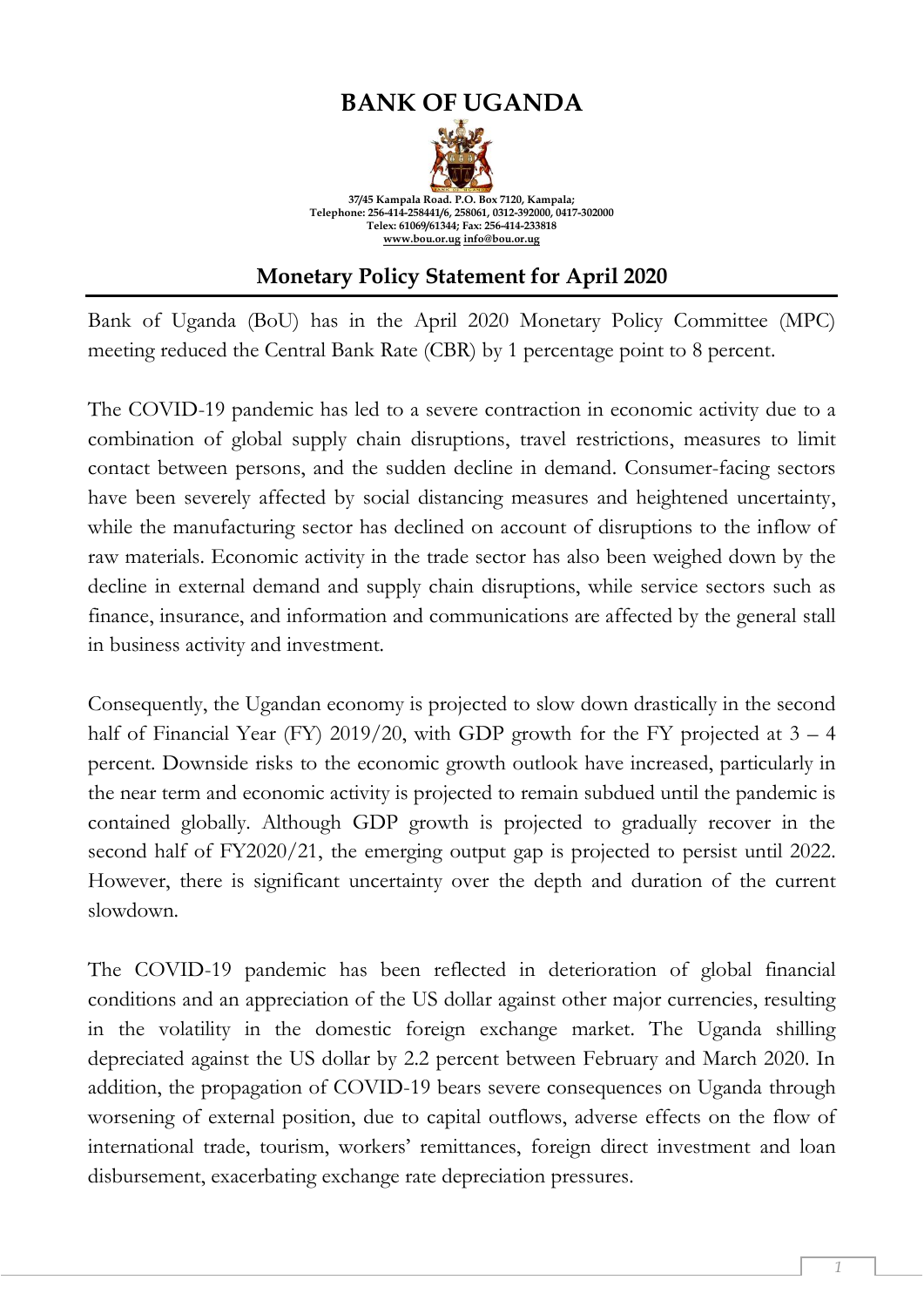## **BANK OF UGANDA**



**37/45 Kampala Road. P.O. Box 7120, Kampala; Telephone: 256-414-258441/6, 258061, 0312-392000, 0417-302000 Telex: 61069/61344; Fax: 256-414-233818 [www.bou.or.ug](http://www.bou.or.ug/) [info@bou.or.ug](mailto:info@bou.or.ug)**

## **Monetary Policy Statement for April 2020**

Bank of Uganda (BoU) has in the April 2020 Monetary Policy Committee (MPC) meeting reduced the Central Bank Rate (CBR) by 1 percentage point to 8 percent.

The COVID-19 pandemic has led to a severe contraction in economic activity due to a combination of global supply chain disruptions, travel restrictions, measures to limit contact between persons, and the sudden decline in demand. Consumer-facing sectors have been severely affected by social distancing measures and heightened uncertainty, while the manufacturing sector has declined on account of disruptions to the inflow of raw materials. Economic activity in the trade sector has also been weighed down by the decline in external demand and supply chain disruptions, while service sectors such as finance, insurance, and information and communications are affected by the general stall in business activity and investment.

Consequently, the Ugandan economy is projected to slow down drastically in the second half of Financial Year (FY) 2019/20, with GDP growth for the FY projected at  $3 - 4$ percent. Downside risks to the economic growth outlook have increased, particularly in the near term and economic activity is projected to remain subdued until the pandemic is contained globally. Although GDP growth is projected to gradually recover in the second half of FY2020/21, the emerging output gap is projected to persist until 2022. However, there is significant uncertainty over the depth and duration of the current slowdown.

The COVID-19 pandemic has been reflected in deterioration of global financial conditions and an appreciation of the US dollar against other major currencies, resulting in the volatility in the domestic foreign exchange market. The Uganda shilling depreciated against the US dollar by 2.2 percent between February and March 2020. In addition, the propagation of COVID-19 bears severe consequences on Uganda through worsening of external position, due to capital outflows, adverse effects on the flow of international trade, tourism, workers' remittances, foreign direct investment and loan disbursement, exacerbating exchange rate depreciation pressures.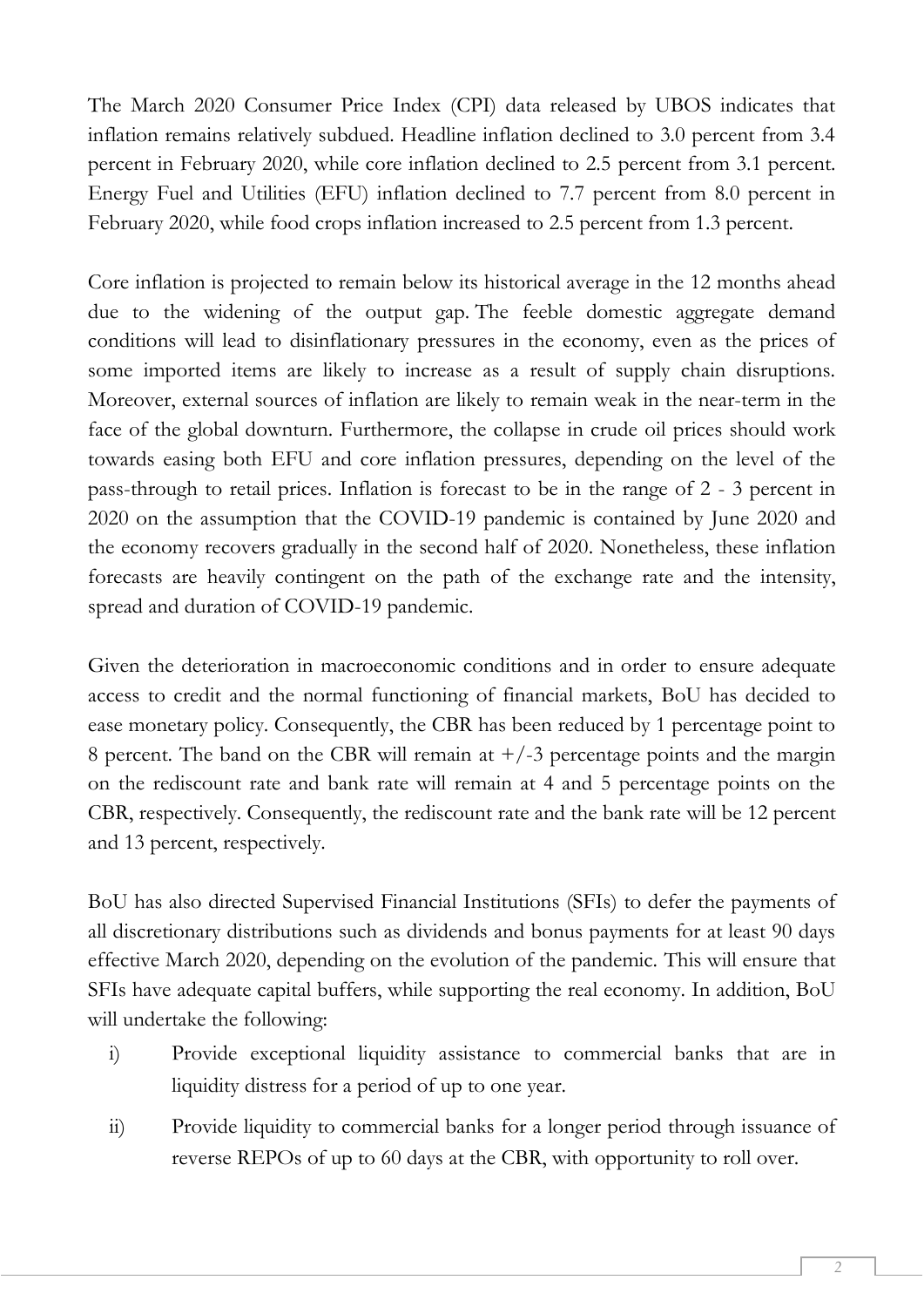The March 2020 Consumer Price Index (CPI) data released by UBOS indicates that inflation remains relatively subdued. Headline inflation declined to 3.0 percent from 3.4 percent in February 2020, while core inflation declined to 2.5 percent from 3.1 percent. Energy Fuel and Utilities (EFU) inflation declined to 7.7 percent from 8.0 percent in February 2020, while food crops inflation increased to 2.5 percent from 1.3 percent.

Core inflation is projected to remain below its historical average in the 12 months ahead due to the widening of the output gap. The feeble domestic aggregate demand conditions will lead to disinflationary pressures in the economy, even as the prices of some imported items are likely to increase as a result of supply chain disruptions. Moreover, external sources of inflation are likely to remain weak in the near-term in the face of the global downturn. Furthermore, the collapse in crude oil prices should work towards easing both EFU and core inflation pressures, depending on the level of the pass-through to retail prices. Inflation is forecast to be in the range of 2 - 3 percent in 2020 on the assumption that the COVID-19 pandemic is contained by June 2020 and the economy recovers gradually in the second half of 2020. Nonetheless, these inflation forecasts are heavily contingent on the path of the exchange rate and the intensity, spread and duration of COVID-19 pandemic.

Given the deterioration in macroeconomic conditions and in order to ensure adequate access to credit and the normal functioning of financial markets, BoU has decided to ease monetary policy. Consequently, the CBR has been reduced by 1 percentage point to 8 percent. The band on the CBR will remain at  $+/-3$  percentage points and the margin on the rediscount rate and bank rate will remain at 4 and 5 percentage points on the CBR, respectively. Consequently, the rediscount rate and the bank rate will be 12 percent and 13 percent, respectively.

BoU has also directed Supervised Financial Institutions (SFIs) to defer the payments of all discretionary distributions such as dividends and bonus payments for at least 90 days effective March 2020, depending on the evolution of the pandemic. This will ensure that SFIs have adequate capital buffers, while supporting the real economy. In addition, BoU will undertake the following:

- i) Provide exceptional liquidity assistance to commercial banks that are in liquidity distress for a period of up to one year.
- ii) Provide liquidity to commercial banks for a longer period through issuance of reverse REPOs of up to 60 days at the CBR, with opportunity to roll over.